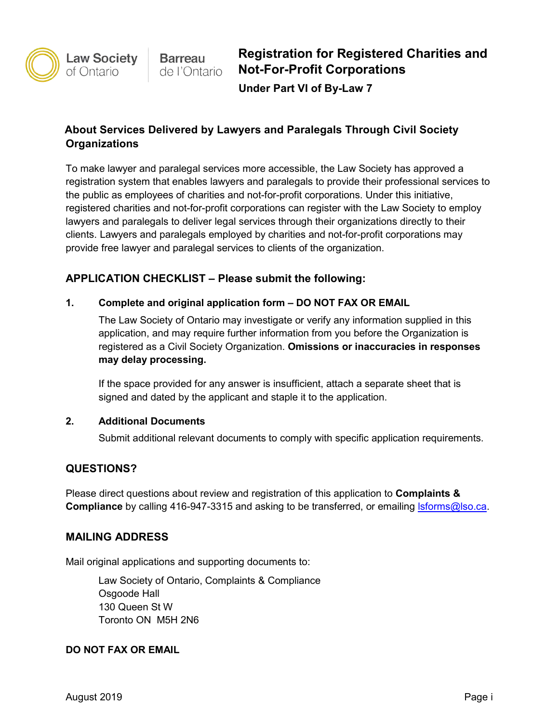

# **About Services Delivered by Lawyers and Paralegals Through Civil Society Organizations**

To make lawyer and paralegal services more accessible, the Law Society has approved a registration system that enables lawyers and paralegals to provide their professional services to the public as employees of charities and not-for-profit corporations. Under this initiative, registered charities and not-for-profit corporations can register with the Law Society to employ lawyers and paralegals to deliver legal services through their organizations directly to their clients. Lawyers and paralegals employed by charities and not-for-profit corporations may provide free lawyer and paralegal services to clients of the organization.

## **APPLICATION CHECKLIST – Please submit the following:**

### **1. Complete and original application form – DO NOT FAX OR EMAIL**

The Law Society of Ontario may investigate or verify any information supplied in this application, and may require further information from you before the Organization is registered as a Civil Society Organization. **Omissions or inaccuracies in responses may delay processing.**

If the space provided for any answer is insufficient, attach a separate sheet that is signed and dated by the applicant and staple it to the application.

#### **2. Additional Documents**

Submit additional relevant documents to comply with specific application requirements.

## **QUESTIONS?**

Please direct questions about review and registration of this application to **Complaints & Compliance** by calling 416-947-3315 and asking to be transferred, or emailing **Isforms@lso.ca**.

### **MAILING ADDRESS**

Mail original applications and supporting documents to:

Law Society of Ontario, Complaints & Compliance Osgoode Hall 130 Queen St W Toronto ON M5H 2N6

#### **DO NOT FAX OR EMAIL**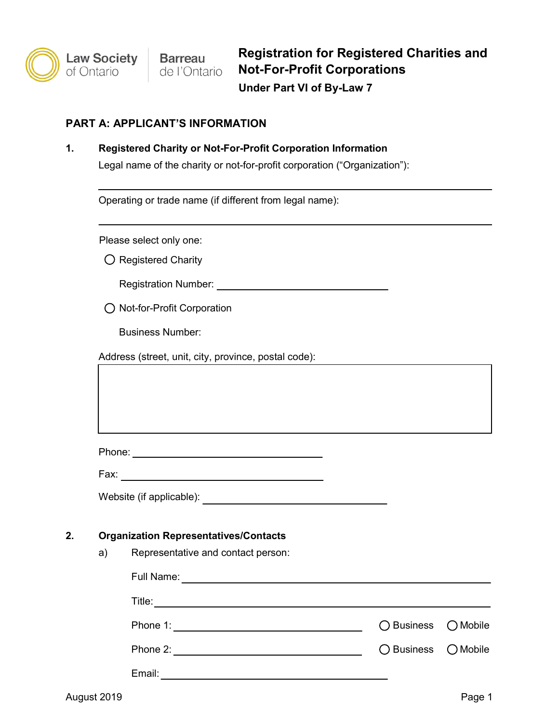### **PART A: APPLICANT'S INFORMATION**

**1. Registered Charity or Not-For-Profit Corporation Information**

Legal name of the charity or not-for-profit corporation ("Organization"):

|  | Operating or trade name (if different from legal name): |  |
|--|---------------------------------------------------------|--|
|  |                                                         |  |

Please select only one:

 $\bigcirc$  Registered Charity

Registration Number:

O Not-for-Profit Corporation

Business Number:

Address (street, unit, city, province, postal code):

Phone: **Phone: Phone: Phone: Phone: Phone: Phone: Phone: Phone: Phone: Phone: Phone: Phone: Phone: Phone: Phone: Phone: Phone: Phone: Phone: Phone: Phone: Phone: Phone: Phone:** 

Fax:

Website (if applicable): Website (if applicable):

#### **2. Organization Representatives/Contacts**

a) Representative and contact person:

| Full Name: |                     |  |
|------------|---------------------|--|
| Title:     |                     |  |
| Phone 1:   | ◯ Business ◯ Mobile |  |
| Phone 2:   | ◯ Business ◯ Mobile |  |
| Email:     |                     |  |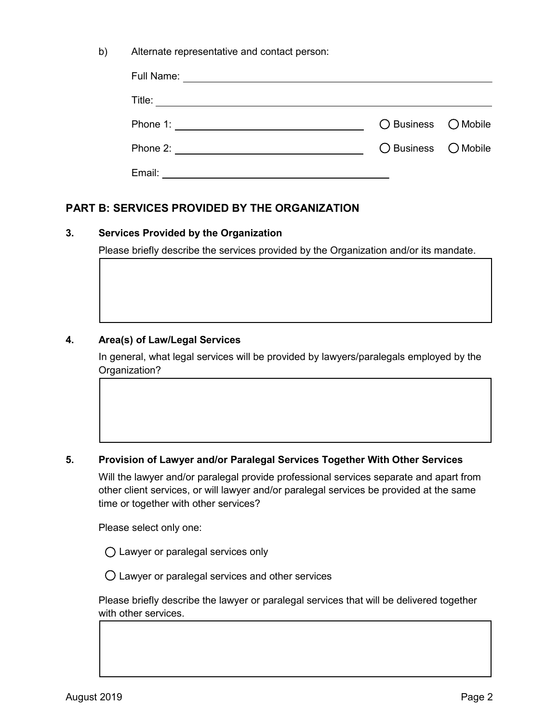| b) | Alternate representative and contact person: |  |
|----|----------------------------------------------|--|
|----|----------------------------------------------|--|

| Full Name:                                                |                     |  |
|-----------------------------------------------------------|---------------------|--|
| Title:                                                    |                     |  |
| Phone 1: <u>____________________</u>                      | ◯ Business ◯ Mobile |  |
| Phone 2:<br><u> 1980 - Andrea Andrew Maria (h. 1980).</u> | ◯ Business ◯ Mobile |  |
| Email:                                                    |                     |  |

### **PART B: SERVICES PROVIDED BY THE ORGANIZATION**

#### **3. Services Provided by the Organization**

Please briefly describe the services provided by the Organization and/or its mandate.

#### **4. Area(s) of Law/Legal Services**

In general, what legal services will be provided by lawyers/paralegals employed by the Organization?

#### **5. Provision of Lawyer and/or Paralegal Services Together With Other Services**

Will the lawyer and/or paralegal provide professional services separate and apart from other client services, or will lawyer and/or paralegal services be provided at the same time or together with other services?

Please select only one:

Lawyer or paralegal services only

 $\bigcirc$  Lawyer or paralegal services and other services

Please briefly describe the lawyer or paralegal services that will be delivered together with other services.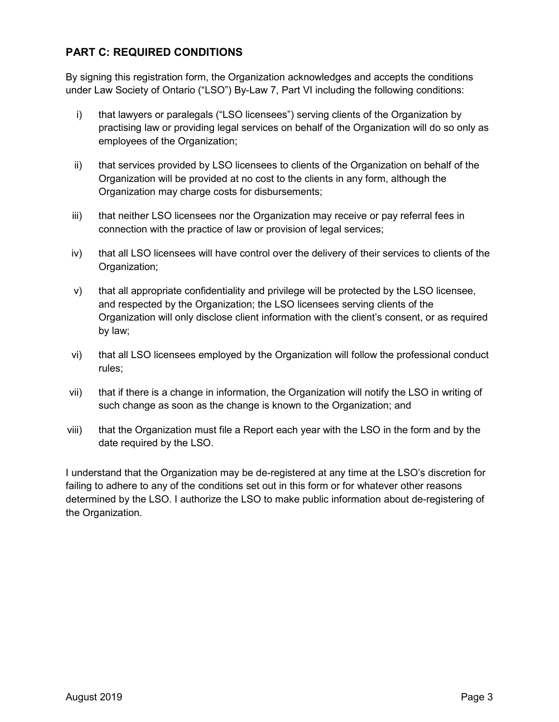## **PART C: REQUIRED CONDITIONS**

By signing this registration form, the Organization acknowledges and accepts the conditions under Law Society of Ontario ("LSO") By-Law 7, Part VI including the following conditions:

- i) that lawyers or paralegals ("LSO licensees") serving clients of the Organization by practising law or providing legal services on behalf of the Organization will do so only as employees of the Organization;
- ii) that services provided by LSO licensees to clients of the Organization on behalf of the Organization will be provided at no cost to the clients in any form, although the Organization may charge costs for disbursements;
- iii) that neither LSO licensees nor the Organization may receive or pay referral fees in connection with the practice of law or provision of legal services;
- iv) that all LSO licensees will have control over the delivery of their services to clients of the Organization;
- v) that all appropriate confidentiality and privilege will be protected by the LSO licensee, and respected by the Organization; the LSO licensees serving clients of the Organization will only disclose client information with the client's consent, or as required by law;
- vi) that all LSO licensees employed by the Organization will follow the professional conduct rules;
- vii) that if there is a change in information, the Organization will notify the LSO in writing of such change as soon as the change is known to the Organization; and
- viii) that the Organization must file a Report each year with the LSO in the form and by the date required by the LSO.

I understand that the Organization may be de-registered at any time at the LSO's discretion for failing to adhere to any of the conditions set out in this form or for whatever other reasons determined by the LSO. I authorize the LSO to make public information about de-registering of the Organization.